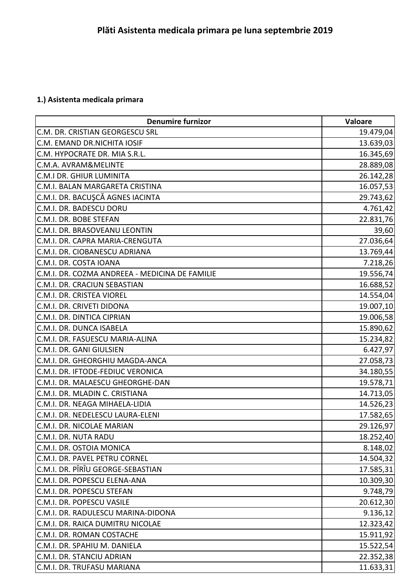## **1.) Asistenta medicala primara**

| <b>Denumire furnizor</b>                       | Valoare   |
|------------------------------------------------|-----------|
| C.M. DR. CRISTIAN GEORGESCU SRL                | 19.479,04 |
| C.M. EMAND DR.NICHITA IOSIF                    | 13.639,03 |
| C.M. HYPOCRATE DR. MIA S.R.L.                  | 16.345,69 |
| C.M.A. AVRAM&MELINTE                           | 28.889,08 |
| C.M.I DR. GHIUR LUMINITA                       | 26.142,28 |
| C.M.I. BALAN MARGARETA CRISTINA                | 16.057,53 |
| C.M.I. DR. BACUŞCĂ AGNES IACINTA               | 29.743,62 |
| C.M.I. DR. BADESCU DORU                        | 4.761,42  |
| C.M.I. DR. BOBE STEFAN                         | 22.831,76 |
| C.M.I. DR. BRASOVEANU LEONTIN                  | 39,60     |
| C.M.I. DR. CAPRA MARIA-CRENGUTA                | 27.036,64 |
| C.M.I. DR. CIOBANESCU ADRIANA                  | 13.769,44 |
| C.M.I. DR. COSTA IOANA                         | 7.218,26  |
| C.M.I. DR. COZMA ANDREEA - MEDICINA DE FAMILIE | 19.556,74 |
| C.M.I. DR. CRACIUN SEBASTIAN                   | 16.688,52 |
| C.M.I. DR. CRISTEA VIOREL                      | 14.554,04 |
| C.M.I. DR. CRIVETI DIDONA                      | 19.007,10 |
| C.M.I. DR. DINTICA CIPRIAN                     | 19.006,58 |
| C.M.I. DR. DUNCA ISABELA                       | 15.890,62 |
| C.M.I. DR. FASUESCU MARIA-ALINA                | 15.234,82 |
| C.M.I. DR. GANI GIULSIEN                       | 6.427,97  |
| C.M.I. DR. GHEORGHIU MAGDA-ANCA                | 27.058,73 |
| C.M.I. DR. IFTODE-FEDIUC VERONICA              | 34.180,55 |
| C.M.I. DR. MALAESCU GHEORGHE-DAN               | 19.578,71 |
| C.M.I. DR. MLADIN C. CRISTIANA                 | 14.713,05 |
| C.M.I. DR. NEAGA MIHAELA-LIDIA                 | 14.526,23 |
| C.M.I. DR. NEDELESCU LAURA-ELENI               | 17.582,65 |
| C.M.I. DR. NICOLAE MARIAN                      | 29.126,97 |
| C.M.I. DR. NUTA RADU                           | 18.252,40 |
| C.M.I. DR. OSTOIA MONICA                       | 8.148,02  |
| C.M.I. DR. PAVEL PETRU CORNEL                  | 14.504,32 |
| C.M.I. DR. PÎRÎU GEORGE-SEBASTIAN              | 17.585,31 |
| C.M.I. DR. POPESCU ELENA-ANA                   | 10.309,30 |
| C.M.I. DR. POPESCU STEFAN                      | 9.748,79  |
| C.M.I. DR. POPESCU VASILE                      | 20.612,30 |
| C.M.I. DR. RADULESCU MARINA-DIDONA             | 9.136,12  |
| C.M.I. DR. RAICA DUMITRU NICOLAE               | 12.323,42 |
| C.M.I. DR. ROMAN COSTACHE                      | 15.911,92 |
| C.M.I. DR. SPAHIU M. DANIELA                   | 15.522,54 |
| C.M.I. DR. STANCIU ADRIAN                      | 22.352,38 |
| C.M.I. DR. TRUFASU MARIANA                     | 11.633,31 |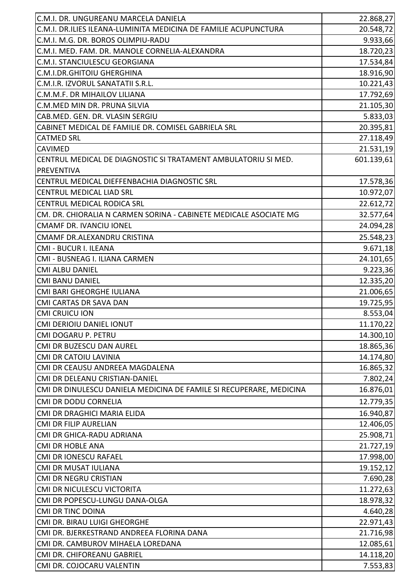| C.M.I. DR. UNGUREANU MARCELA DANIELA                                | 22.868,27  |
|---------------------------------------------------------------------|------------|
| C.M.I. DR.ILIES ILEANA-LUMINITA MEDICINA DE FAMILIE ACUPUNCTURA     | 20.548,72  |
| C.M.I. M.G. DR. BOROS OLIMPIU-RADU                                  | 9.933,66   |
| C.M.I. MED. FAM. DR. MANOLE CORNELIA-ALEXANDRA                      | 18.720,23  |
| C.M.I. STANCIULESCU GEORGIANA                                       | 17.534,84  |
| C.M.I.DR.GHITOIU GHERGHINA                                          | 18.916,90  |
| C.M.I.R. IZVORUL SANATATII S.R.L.                                   | 10.221,43  |
| C.M.M.F. DR MIHAILOV LILIANA                                        | 17.792,69  |
| C.M.MED MIN DR. PRUNA SILVIA                                        | 21.105,30  |
| CAB.MED. GEN. DR. VLASIN SERGIU                                     | 5.833,03   |
| CABINET MEDICAL DE FAMILIE DR. COMISEL GABRIELA SRL                 | 20.395,81  |
| <b>CATMED SRL</b>                                                   | 27.118,49  |
| <b>CAVIMED</b>                                                      | 21.531,19  |
| CENTRUL MEDICAL DE DIAGNOSTIC SI TRATAMENT AMBULATORIU SI MED.      | 601.139,61 |
| <b>PREVENTIVA</b>                                                   |            |
| CENTRUL MEDICAL DIEFFENBACHIA DIAGNOSTIC SRL                        | 17.578,36  |
| <b>CENTRUL MEDICAL LIAD SRL</b>                                     | 10.972,07  |
| CENTRUL MEDICAL RODICA SRL                                          | 22.612,72  |
| CM. DR. CHIORALIA N CARMEN SORINA - CABINETE MEDICALE ASOCIATE MG   | 32.577,64  |
| <b>CMAMF DR. IVANCIU IONEL</b>                                      | 24.094,28  |
| CMAMF DR.ALEXANDRU CRISTINA                                         | 25.548,23  |
| CMI - BUCUR I. ILEANA                                               | 9.671,18   |
| CMI - BUSNEAG I. ILIANA CARMEN                                      | 24.101,65  |
| <b>CMI ALBU DANIEL</b>                                              | 9.223,36   |
| <b>CMI BANU DANIEL</b>                                              | 12.335,20  |
| CMI BARI GHEORGHE IULIANA                                           | 21.006,65  |
| <b>CMI CARTAS DR SAVA DAN</b>                                       | 19.725,95  |
| <b>CMI CRUICU ION</b>                                               | 8.553,04   |
| CMI DERIOIU DANIEL IONUT                                            | 11.170,22  |
| CMI DOGARU P. PETRU                                                 | 14.300,10  |
| CMI DR BUZESCU DAN AUREL                                            | 18.865,36  |
| <b>CMI DR CATOIU LAVINIA</b>                                        | 14.174,80  |
| CMI DR CEAUSU ANDREEA MAGDALENA                                     | 16.865,32  |
| CMI DR DELEANU CRISTIAN-DANIEL                                      | 7.802,24   |
| CMI DR DINULESCU DANIELA MEDICINA DE FAMILE SI RECUPERARE, MEDICINA | 16.876,01  |
| <b>CMI DR DODU CORNELIA</b>                                         | 12.779,35  |
| CMI DR DRAGHICI MARIA ELIDA                                         | 16.940,87  |
| <b>CMI DR FILIP AURELIAN</b>                                        | 12.406,05  |
| CMI DR GHICA-RADU ADRIANA                                           | 25.908,71  |
| <b>CMI DR HOBLE ANA</b>                                             | 21.727,19  |
| <b>CMI DR IONESCU RAFAEL</b>                                        | 17.998,00  |
| CMI DR MUSAT IULIANA                                                | 19.152,12  |
| CMI DR NEGRU CRISTIAN                                               | 7.690,28   |
| CMI DR NICULESCU VICTORITA                                          | 11.272,63  |
| CMI DR POPESCU-LUNGU DANA-OLGA                                      | 18.978,32  |
| <b>CMI DR TINC DOINA</b>                                            | 4.640,28   |
| CMI DR. BIRAU LUIGI GHEORGHE                                        | 22.971,43  |
| CMI DR. BJERKESTRAND ANDREEA FLORINA DANA                           | 21.716,98  |
| CMI DR. CAMBUROV MIHAELA LOREDANA                                   | 12.085,61  |
| CMI DR. CHIFOREANU GABRIEL                                          | 14.118,20  |
| CMI DR. COJOCARU VALENTIN                                           | 7.553,83   |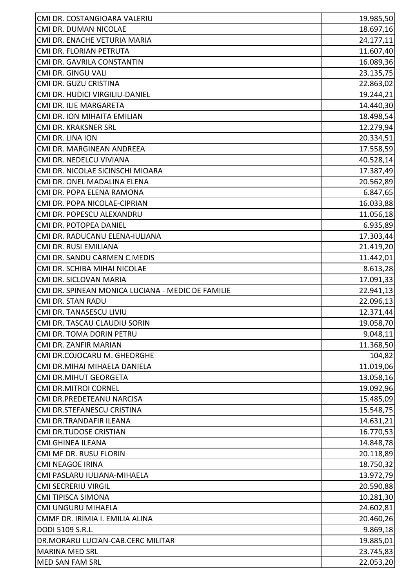| CMI DR. COSTANGIOARA VALERIU                      | 19.985,50 |
|---------------------------------------------------|-----------|
| CMI DR. DUMAN NICOLAE                             | 18.697,16 |
| CMI DR. ENACHE VETURIA MARIA                      | 24.177,11 |
| CMI DR. FLORIAN PETRUTA                           | 11.607,40 |
| CMI DR. GAVRILA CONSTANTIN                        | 16.089,36 |
| CMI DR. GINGU VALI                                | 23.135,75 |
| CMI DR. GUZU CRISTINA                             | 22.863,02 |
| CMI DR. HUDICI VIRGILIU-DANIEL                    | 19.244,21 |
| CMI DR. ILIE MARGARETA                            | 14.440,30 |
| CMI DR. ION MIHAITA EMILIAN                       | 18.498,54 |
| CMI DR. KRAKSNER SRL                              | 12.279,94 |
| CMI DR. LINA ION                                  | 20.334,51 |
| CMI DR. MARGINEAN ANDREEA                         | 17.558,59 |
| CMI DR. NEDELCU VIVIANA                           | 40.528,14 |
| CMI DR. NICOLAE SICINSCHI MIOARA                  | 17.387,49 |
| CMI DR. ONEL MADALINA ELENA                       | 20.562,89 |
| CMI DR. POPA ELENA RAMONA                         | 6.847,65  |
| CMI DR. POPA NICOLAE-CIPRIAN                      | 16.033,88 |
| CMI DR. POPESCU ALEXANDRU                         | 11.056,18 |
| CMI DR. POTOPEA DANIEL                            | 6.935,89  |
| CMI DR. RADUCANU ELENA-IULIANA                    | 17.303,44 |
| CMI DR. RUSI EMILIANA                             | 21.419,20 |
| CMI DR. SANDU CARMEN C.MEDIS                      | 11.442,01 |
| CMI DR. SCHIBA MIHAI NICOLAE                      | 8.613,28  |
| CMI DR. SICLOVAN MARIA                            | 17.091,33 |
| CMI DR. SPINEAN MONICA LUCIANA - MEDIC DE FAMILIE | 22.941,13 |
| <b>CMI DR. STAN RADU</b>                          | 22.096,13 |
| CMI DR. TANASESCU LIVIU                           | 12.371,44 |
| CMI DR. TASCAU CLAUDIU SORIN                      | 19.058,70 |
| CMI DR. TOMA DORIN PETRU                          | 9.048,11  |
| CMI DR. ZANFIR MARIAN                             | 11.368,50 |
| CMI DR.COJOCARU M. GHEORGHE                       | 104,82    |
| CMI DR.MIHAI MIHAELA DANIELA                      | 11.019,06 |
| <b>CMI DR.MIHUT GEORGETA</b>                      | 13.058,16 |
| <b>CMI DR.MITROI CORNEL</b>                       | 19.092,96 |
| CMI DR.PREDETEANU NARCISA                         | 15.485,09 |
| CMI DR.STEFANESCU CRISTINA                        | 15.548,75 |
| CMI DR.TRANDAFIR ILEANA                           | 14.631,21 |
| <b>CMI DR.TUDOSE CRISTIAN</b>                     | 16.770,53 |
| <b>CMI GHINEA ILEANA</b>                          | 14.848,78 |
| CMI MF DR. RUSU FLORIN                            | 20.118,89 |
| <b>CMI NEAGOE IRINA</b>                           | 18.750,32 |
| CMI PASLARU IULIANA-MIHAELA                       | 13.972,79 |
| <b>CMI SECRERIU VIRGIL</b>                        | 20.590,88 |
| <b>CMI TIPISCA SIMONA</b>                         | 10.281,30 |
| CMI UNGURU MIHAELA                                | 24.602,81 |
| CMMF DR. IRIMIA I. EMILIA ALINA                   | 20.460,26 |
| DODI 5109 S.R.L.                                  | 9.869,18  |
| DR.MORARU LUCIAN-CAB.CERC MILITAR                 | 19.885,01 |
| <b>MARINA MED SRL</b>                             | 23.745,83 |
| <b>MED SAN FAM SRL</b>                            | 22.053,20 |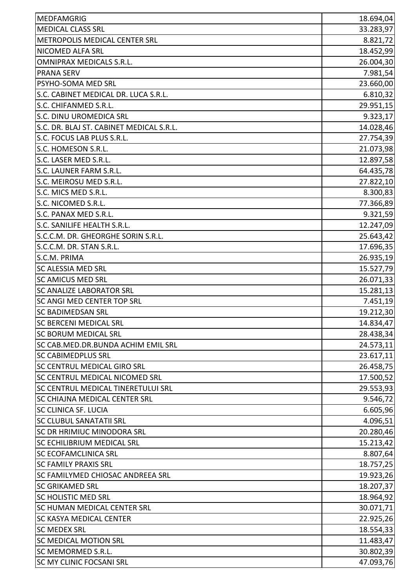| <b>MEDFAMGRIG</b>                        | 18.694,04 |
|------------------------------------------|-----------|
| <b>MEDICAL CLASS SRL</b>                 | 33.283,97 |
| METROPOLIS MEDICAL CENTER SRL            | 8.821,72  |
| NICOMED ALFA SRL                         | 18.452,99 |
| OMNIPRAX MEDICALS S.R.L.                 | 26.004,30 |
| <b>PRANA SERV</b>                        | 7.981,54  |
| PSYHO-SOMA MED SRL                       | 23.660,00 |
| S.C. CABINET MEDICAL DR. LUCA S.R.L.     | 6.810,32  |
| S.C. CHIFANMED S.R.L.                    | 29.951,15 |
| S.C. DINU UROMEDICA SRL                  | 9.323,17  |
| S.C. DR. BLAJ ST. CABINET MEDICAL S.R.L. | 14.028,46 |
| S.C. FOCUS LAB PLUS S.R.L.               | 27.754,39 |
| S.C. HOMESON S.R.L.                      | 21.073,98 |
| S.C. LASER MED S.R.L.                    | 12.897,58 |
| S.C. LAUNER FARM S.R.L.                  | 64.435,78 |
| S.C. MEIROSU MED S.R.L.                  | 27.822,10 |
| S.C. MICS MED S.R.L.                     | 8.300,83  |
| S.C. NICOMED S.R.L.                      | 77.366,89 |
| S.C. PANAX MED S.R.L.                    | 9.321,59  |
| S.C. SANILIFE HEALTH S.R.L.              | 12.247,09 |
| S.C.C.M. DR. GHEORGHE SORIN S.R.L.       | 25.643,42 |
| S.C.C.M. DR. STAN S.R.L.                 | 17.696,35 |
| S.C.M. PRIMA                             | 26.935,19 |
| SC ALESSIA MED SRL                       | 15.527,79 |
| <b>SC AMICUS MED SRL</b>                 | 26.071,33 |
| <b>SC ANALIZE LABORATOR SRL</b>          | 15.281,13 |
| SC ANGI MED CENTER TOP SRL               | 7.451,19  |
| <b>SC BADIMEDSAN SRL</b>                 | 19.212,30 |
| <b>SC BERCENI MEDICAL SRL</b>            | 14.834,47 |
| <b>SC BORUM MEDICAL SRL</b>              | 28.438,34 |
| SC CAB.MED.DR.BUNDA ACHIM EMIL SRL       | 24.573,11 |
| <b>SC CABIMEDPLUS SRL</b>                | 23.617,11 |
| <b>SC CENTRUL MEDICAL GIRO SRL</b>       | 26.458,75 |
| SC CENTRUL MEDICAL NICOMED SRL           | 17.500,52 |
| SC CENTRUL MEDICAL TINERETULUI SRL       | 29.553,93 |
| SC CHIAJNA MEDICAL CENTER SRL            | 9.546,72  |
| SC CLINICA SF. LUCIA                     | 6.605,96  |
| <b>SC CLUBUL SANATATII SRL</b>           | 4.096,51  |
| <b>SC DR HRIMIUC MINODORA SRL</b>        | 20.280,46 |
| SC ECHILIBRIUM MEDICAL SRL               | 15.213,42 |
| SC ECOFAMCLINICA SRL                     | 8.807,64  |
| <b>SC FAMILY PRAXIS SRL</b>              | 18.757,25 |
| SC FAMILYMED CHIOSAC ANDREEA SRL         | 19.923,26 |
| <b>SC GRIKAMED SRL</b>                   | 18.207,37 |
| SC HOLISTIC MED SRL                      | 18.964,92 |
| SC HUMAN MEDICAL CENTER SRL              | 30.071,71 |
| SC KASYA MEDICAL CENTER                  | 22.925,26 |
| <b>SC MEDEX SRL</b>                      | 18.554,33 |
| <b>SC MEDICAL MOTION SRL</b>             | 11.483,47 |
| SC MEMORMED S.R.L.                       | 30.802,39 |
| <b>SC MY CLINIC FOCSANI SRL</b>          | 47.093,76 |